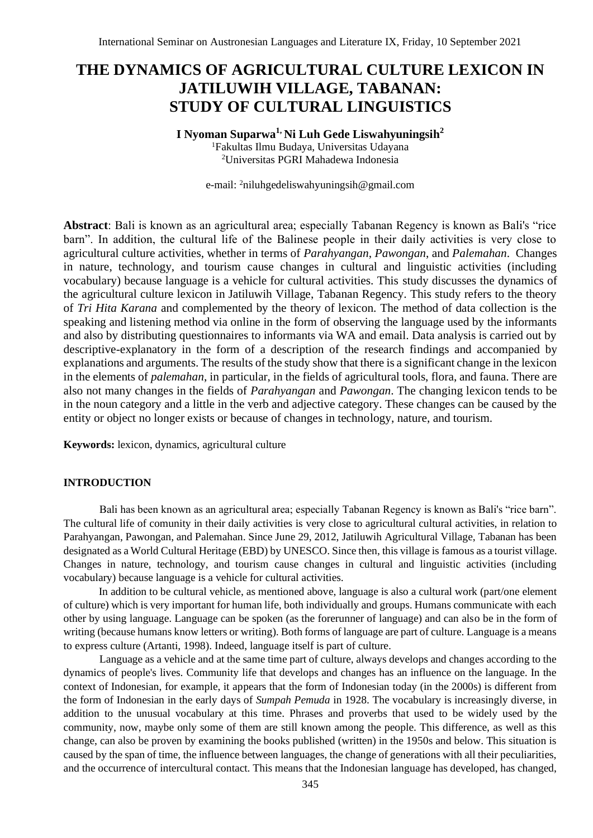# **THE DYNAMICS OF AGRICULTURAL CULTURE LEXICON IN JATILUWIH VILLAGE, TABANAN: STUDY OF CULTURAL LINGUISTICS**

# **I Nyoman Suparwa1, Ni Luh Gede Liswahyuningsih<sup>2</sup>**

<sup>1</sup>Fakultas Ilmu Budaya, Universitas Udayana <sup>2</sup>Universitas PGRI Mahadewa Indonesia

e-mail: <sup>2</sup>niluhgedeliswahyuningsih@gmail.com

**Abstract**: Bali is known as an agricultural area; especially Tabanan Regency is known as Bali's "rice barn". In addition, the cultural life of the Balinese people in their daily activities is very close to agricultural culture activities, whether in terms of *Parahyangan*, *Pawongan*, and *Palemahan*. Changes in nature, technology, and tourism cause changes in cultural and linguistic activities (including vocabulary) because language is a vehicle for cultural activities. This study discusses the dynamics of the agricultural culture lexicon in Jatiluwih Village, Tabanan Regency. This study refers to the theory of *Tri Hita Karana* and complemented by the theory of lexicon. The method of data collection is the speaking and listening method via online in the form of observing the language used by the informants and also by distributing questionnaires to informants via WA and email. Data analysis is carried out by descriptive-explanatory in the form of a description of the research findings and accompanied by explanations and arguments. The results of the study show that there is a significant change in the lexicon in the elements of *palemahan*, in particular, in the fields of agricultural tools, flora, and fauna. There are also not many changes in the fields of *Parahyangan* and *Pawongan*. The changing lexicon tends to be in the noun category and a little in the verb and adjective category. These changes can be caused by the entity or object no longer exists or because of changes in technology, nature, and tourism.

**Keywords:** lexicon, dynamics, agricultural culture

## **INTRODUCTION**

Bali has been known as an agricultural area; especially Tabanan Regency is known as Bali's "rice barn". The cultural life of comunity in their daily activities is very close to agricultural cultural activities, in relation to Parahyangan, Pawongan, and Palemahan. Since June 29, 2012, Jatiluwih Agricultural Village, Tabanan has been designated as a World Cultural Heritage (EBD) by UNESCO. Since then, this village is famous as a tourist village. Changes in nature, technology, and tourism cause changes in cultural and linguistic activities (including vocabulary) because language is a vehicle for cultural activities.

In addition to be cultural vehicle, as mentioned above, language is also a cultural work (part/one element of culture) which is very important for human life, both individually and groups. Humans communicate with each other by using language. Language can be spoken (as the forerunner of language) and can also be in the form of writing (because humans know letters or writing). Both forms of language are part of culture. Language is a means to express culture (Artanti, 1998). Indeed, language itself is part of culture.

Language as a vehicle and at the same time part of culture, always develops and changes according to the dynamics of people's lives. Community life that develops and changes has an influence on the language. In the context of Indonesian, for example, it appears that the form of Indonesian today (in the 2000s) is different from the form of Indonesian in the early days of *Sumpah Pemuda* in 1928. The vocabulary is increasingly diverse, in addition to the unusual vocabulary at this time. Phrases and proverbs that used to be widely used by the community, now, maybe only some of them are still known among the people. This difference, as well as this change, can also be proven by examining the books published (written) in the 1950s and below. This situation is caused by the span of time, the influence between languages, the change of generations with all their peculiarities, and the occurrence of intercultural contact. This means that the Indonesian language has developed, has changed,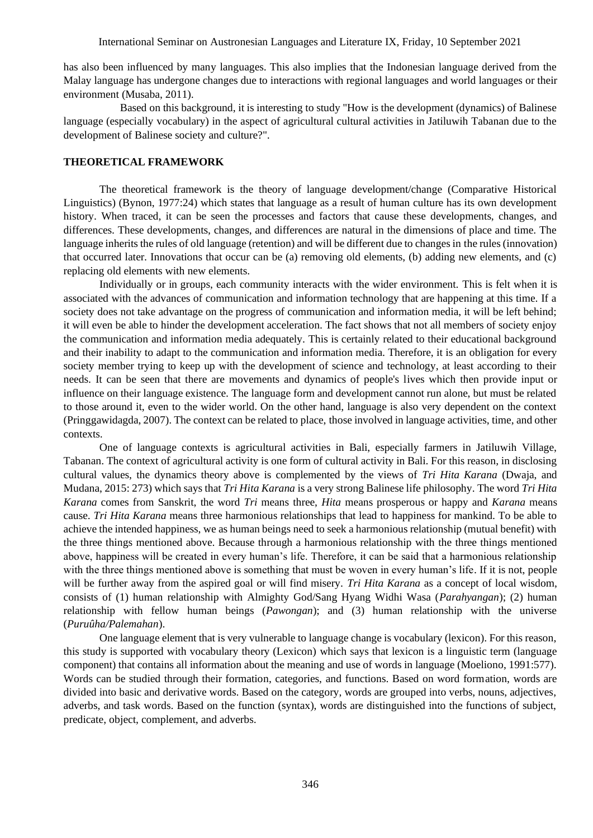has also been influenced by many languages. This also implies that the Indonesian language derived from the Malay language has undergone changes due to interactions with regional languages and world languages or their environment (Musaba, 2011).

Based on this background, it is interesting to study "How is the development (dynamics) of Balinese language (especially vocabulary) in the aspect of agricultural cultural activities in Jatiluwih Tabanan due to the development of Balinese society and culture?".

## **THEORETICAL FRAMEWORK**

The theoretical framework is the theory of language development/change (Comparative Historical Linguistics) (Bynon, 1977:24) which states that language as a result of human culture has its own development history. When traced, it can be seen the processes and factors that cause these developments, changes, and differences. These developments, changes, and differences are natural in the dimensions of place and time. The language inherits the rules of old language (retention) and will be different due to changes in the rules (innovation) that occurred later. Innovations that occur can be (a) removing old elements, (b) adding new elements, and (c) replacing old elements with new elements.

Individually or in groups, each community interacts with the wider environment. This is felt when it is associated with the advances of communication and information technology that are happening at this time. If a society does not take advantage on the progress of communication and information media, it will be left behind; it will even be able to hinder the development acceleration. The fact shows that not all members of society enjoy the communication and information media adequately. This is certainly related to their educational background and their inability to adapt to the communication and information media. Therefore, it is an obligation for every society member trying to keep up with the development of science and technology, at least according to their needs. It can be seen that there are movements and dynamics of people's lives which then provide input or influence on their language existence. The language form and development cannot run alone, but must be related to those around it, even to the wider world. On the other hand, language is also very dependent on the context (Pringgawidagda, 2007). The context can be related to place, those involved in language activities, time, and other contexts.

One of language contexts is agricultural activities in Bali, especially farmers in Jatiluwih Village, Tabanan. The context of agricultural activity is one form of cultural activity in Bali. For this reason, in disclosing cultural values, the dynamics theory above is complemented by the views of *Tri Hita Karana* (Dwaja, and Mudana, 2015: 273) which says that *Tri Hita Karana* is a very strong Balinese life philosophy. The word *Tri Hita Karana* comes from Sanskrit, the word *Tri* means three, *Hita* means prosperous or happy and *Karana* means cause. *Tri Hita Karana* means three harmonious relationships that lead to happiness for mankind. To be able to achieve the intended happiness, we as human beings need to seek a harmonious relationship (mutual benefit) with the three things mentioned above. Because through a harmonious relationship with the three things mentioned above, happiness will be created in every human's life. Therefore, it can be said that a harmonious relationship with the three things mentioned above is something that must be woven in every human's life. If it is not, people will be further away from the aspired goal or will find misery. *Tri Hita Karana* as a concept of local wisdom, consists of (1) human relationship with Almighty God/Sang Hyang Widhi Wasa (*Parahyangan*); (2) human relationship with fellow human beings (*Pawongan*); and (3) human relationship with the universe (*Puruûha/Palemahan*).

One language element that is very vulnerable to language change is vocabulary (lexicon). For this reason, this study is supported with vocabulary theory (Lexicon) which says that lexicon is a linguistic term (language component) that contains all information about the meaning and use of words in language (Moeliono, 1991:577). Words can be studied through their formation, categories, and functions. Based on word formation, words are divided into basic and derivative words. Based on the category, words are grouped into verbs, nouns, adjectives, adverbs, and task words. Based on the function (syntax), words are distinguished into the functions of subject, predicate, object, complement, and adverbs.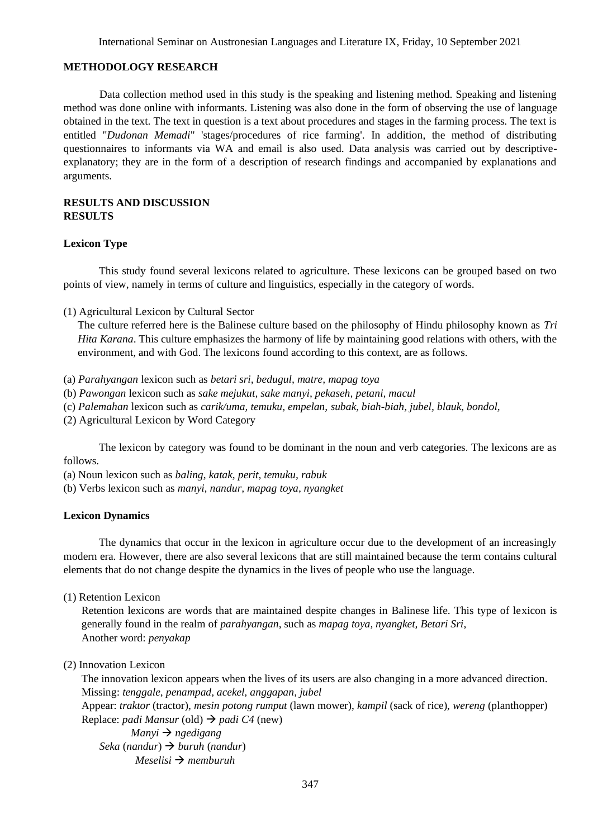#### **METHODOLOGY RESEARCH**

Data collection method used in this study is the speaking and listening method. Speaking and listening method was done online with informants. Listening was also done in the form of observing the use of language obtained in the text. The text in question is a text about procedures and stages in the farming process. The text is entitled "*Dudonan Memadi*" 'stages/procedures of rice farming'. In addition, the method of distributing questionnaires to informants via WA and email is also used. Data analysis was carried out by descriptiveexplanatory; they are in the form of a description of research findings and accompanied by explanations and arguments.

## **RESULTS AND DISCUSSION RESULTS**

#### **Lexicon Type**

This study found several lexicons related to agriculture. These lexicons can be grouped based on two points of view, namely in terms of culture and linguistics, especially in the category of words.

(1) Agricultural Lexicon by Cultural Sector

The culture referred here is the Balinese culture based on the philosophy of Hindu philosophy known as *Tri Hita Karana*. This culture emphasizes the harmony of life by maintaining good relations with others, with the environment, and with God. The lexicons found according to this context, are as follows.

- (a) *Parahyangan* lexicon such as *betari sri, bedugul, matre, mapag toya*
- (b) *Pawongan* lexicon such as *sake mejukut, sake manyi, pekaseh, petani, macul*
- (c) *Palemahan* lexicon such as *carik/uma, temuku, empelan, subak, biah-biah, jubel, blauk, bondol,*
- (2) Agricultural Lexicon by Word Category

The lexicon by category was found to be dominant in the noun and verb categories. The lexicons are as follows.

(a) Noun lexicon such as *baling, katak, perit, temuku, rabuk*

(b) Verbs lexicon such as *manyi, nandur, mapag toya, nyangket*

#### **Lexicon Dynamics**

The dynamics that occur in the lexicon in agriculture occur due to the development of an increasingly modern era. However, there are also several lexicons that are still maintained because the term contains cultural elements that do not change despite the dynamics in the lives of people who use the language.

(1) Retention Lexicon

Retention lexicons are words that are maintained despite changes in Balinese life. This type of lexicon is generally found in the realm of *parahyangan*, such as *mapag toya, nyangket, Betari Sri*, Another word: *penyakap*

## (2) Innovation Lexicon

The innovation lexicon appears when the lives of its users are also changing in a more advanced direction. Missing: *tenggale, penampad, acekel, anggapan, jubel*

Appear: *traktor* (tractor), *mesin potong rumput* (lawn mower), *kampil* (sack of rice), *wereng* (planthopper) Replace: *padi Mansur* (old) → *padi C4* (new)

 *Manyi* → *ngedigang Seka* (*nandur*) → *buruh* (*nandur*) *Meselisi* → *memburuh*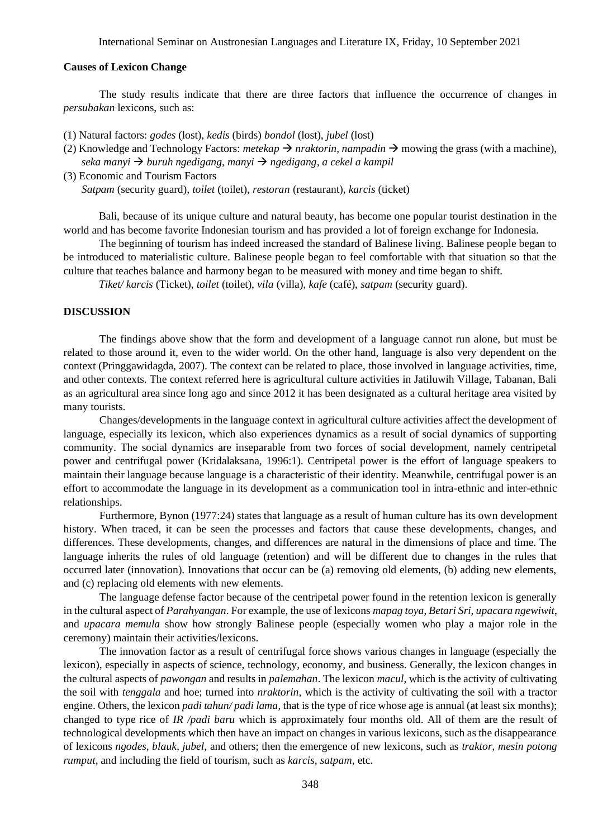#### **Causes of Lexicon Change**

The study results indicate that there are three factors that influence the occurrence of changes in *persubakan* lexicons, such as:

(1) Natural factors: *godes* (lost), *kedis* (birds) *bondol* (lost), *jubel* (lost)

(2) Knowledge and Technology Factors: *metekap*  $\rightarrow$  *nraktorin*, *nampadin*  $\rightarrow$  mowing the grass (with a machine), *seka manyi* → *buruh ngedigang*, *manyi* → *ngedigang*, *a cekel a kampil*

(3) Economic and Tourism Factors

*Satpam* (security guard)*, toilet* (toilet)*, restoran* (restaurant)*, karcis* (ticket)

Bali, because of its unique culture and natural beauty, has become one popular tourist destination in the world and has become favorite Indonesian tourism and has provided a lot of foreign exchange for Indonesia.

The beginning of tourism has indeed increased the standard of Balinese living. Balinese people began to be introduced to materialistic culture. Balinese people began to feel comfortable with that situation so that the culture that teaches balance and harmony began to be measured with money and time began to shift.

*Tiket/ karcis* (Ticket), *toilet* (toilet), *vila* (villa), *kafe* (café), *satpam* (security guard).

## **DISCUSSION**

The findings above show that the form and development of a language cannot run alone, but must be related to those around it, even to the wider world. On the other hand, language is also very dependent on the context (Pringgawidagda, 2007). The context can be related to place, those involved in language activities, time, and other contexts. The context referred here is agricultural culture activities in Jatiluwih Village, Tabanan, Bali as an agricultural area since long ago and since 2012 it has been designated as a cultural heritage area visited by many tourists.

Changes/developments in the language context in agricultural culture activities affect the development of language, especially its lexicon, which also experiences dynamics as a result of social dynamics of supporting community. The social dynamics are inseparable from two forces of social development, namely centripetal power and centrifugal power (Kridalaksana, 1996:1). Centripetal power is the effort of language speakers to maintain their language because language is a characteristic of their identity. Meanwhile, centrifugal power is an effort to accommodate the language in its development as a communication tool in intra-ethnic and inter-ethnic relationships.

Furthermore, Bynon (1977:24) states that language as a result of human culture has its own development history. When traced, it can be seen the processes and factors that cause these developments, changes, and differences. These developments, changes, and differences are natural in the dimensions of place and time. The language inherits the rules of old language (retention) and will be different due to changes in the rules that occurred later (innovation). Innovations that occur can be (a) removing old elements, (b) adding new elements, and (c) replacing old elements with new elements.

The language defense factor because of the centripetal power found in the retention lexicon is generally in the cultural aspect of *Parahyangan*. For example, the use of lexicons *mapag toya*, *Betari Sri*, *upacara ngewiwit*, and *upacara memula* show how strongly Balinese people (especially women who play a major role in the ceremony) maintain their activities/lexicons.

The innovation factor as a result of centrifugal force shows various changes in language (especially the lexicon), especially in aspects of science, technology, economy, and business. Generally, the lexicon changes in the cultural aspects of *pawongan* and results in *palemahan*. The lexicon *macul*, which is the activity of cultivating the soil with *tenggala* and hoe; turned into *nraktorin*, which is the activity of cultivating the soil with a tractor engine. Others, the lexicon *padi tahun/ padi lama*, that is the type of rice whose age is annual (at least six months); changed to type rice of *IR /padi baru* which is approximately four months old. All of them are the result of technological developments which then have an impact on changes in various lexicons, such as the disappearance of lexicons *ngodes, blauk, jubel*, and others; then the emergence of new lexicons, such as *traktor, mesin potong rumput*, and including the field of tourism, such as *karcis, satpam*, etc.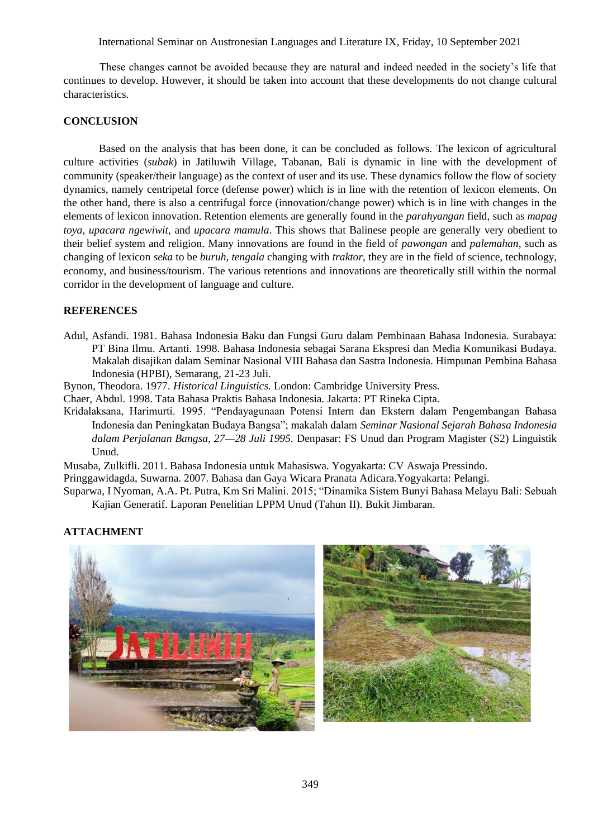International Seminar on Austronesian Languages and Literature IX, Friday, 10 September 2021

These changes cannot be avoided because they are natural and indeed needed in the society's life that continues to develop. However, it should be taken into account that these developments do not change cultural characteristics.

## **CONCLUSION**

Based on the analysis that has been done, it can be concluded as follows. The lexicon of agricultural culture activities (*subak*) in Jatiluwih Village, Tabanan, Bali is dynamic in line with the development of community (speaker/their language) as the context of user and its use. These dynamics follow the flow of society dynamics, namely centripetal force (defense power) which is in line with the retention of lexicon elements. On the other hand, there is also a centrifugal force (innovation/change power) which is in line with changes in the elements of lexicon innovation. Retention elements are generally found in the *parahyangan* field, such as *mapag toya, upacara ngewiwit*, and *upacara mamula*. This shows that Balinese people are generally very obedient to their belief system and religion. Many innovations are found in the field of *pawongan* and *palemahan*, such as changing of lexicon *seka* to be *buruh, tengala* changing with *traktor*, they are in the field of science, technology, economy, and business/tourism. The various retentions and innovations are theoretically still within the normal corridor in the development of language and culture.

# **REFERENCES**

Adul, Asfandi. 1981. Bahasa Indonesia Baku dan Fungsi Guru dalam Pembinaan Bahasa Indonesia. Surabaya: PT Bina Ilmu. Artanti. 1998. Bahasa Indonesia sebagai Sarana Ekspresi dan Media Komunikasi Budaya. Makalah disajikan dalam Seminar Nasional VIII Bahasa dan Sastra Indonesia. Himpunan Pembina Bahasa Indonesia (HPBI), Semarang, 21-23 Juli.

Bynon, Theodora. 1977. *Historical Linguistics.* London: Cambridge University Press.

Chaer, Abdul. 1998. Tata Bahasa Praktis Bahasa Indonesia. Jakarta: PT Rineka Cipta.

Kridalaksana, Harimurti. 1995. "Pendayagunaan Potensi Intern dan Ekstern dalam Pengembangan Bahasa Indonesia dan Peningkatan Budaya Bangsa"; makalah dalam *Seminar Nasional Sejarah Bahasa Indonesia dalam Perjalanan Bangsa, 27—28 Juli 1995.* Denpasar: FS Unud dan Program Magister (S2) Linguistik Unud.

Musaba, Zulkifli. 2011. Bahasa Indonesia untuk Mahasiswa. Yogyakarta: CV Aswaja Pressindo.

Pringgawidagda, Suwarna. 2007. Bahasa dan Gaya Wicara Pranata Adicara.Yogyakarta: Pelangi.

Suparwa, I Nyoman, A.A. Pt. Putra, Km Sri Malini. 2015; "Dinamika Sistem Bunyi Bahasa Melayu Bali: Sebuah Kajian Generatif. Laporan Penelitian LPPM Unud (Tahun II). Bukit Jimbaran.

# **ATTACHMENT**